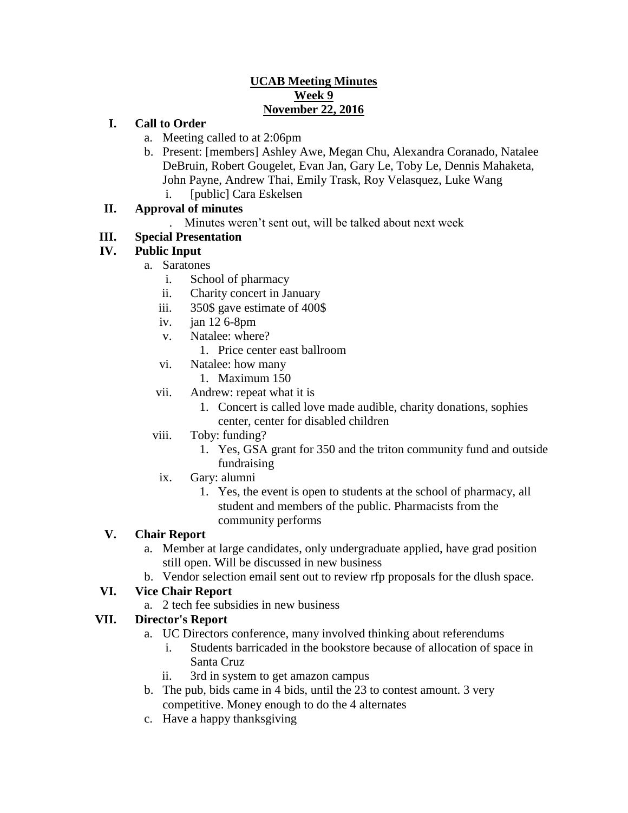### **UCAB Meeting Minutes Week 9 November 22, 2016**

## **I. Call to Order**

- a. Meeting called to at 2:06pm
- b. Present: [members] Ashley Awe, Megan Chu, Alexandra Coranado, Natalee DeBruin, Robert Gougelet, Evan Jan, Gary Le, Toby Le, Dennis Mahaketa, John Payne, Andrew Thai, Emily Trask, Roy Velasquez, Luke Wang
	- i. [public] Cara Eskelsen

# **II. Approval of minutes**

. Minutes weren't sent out, will be talked about next week

## **III. Special Presentation**

## **IV. Public Input**

- a. Saratones
	- i. School of pharmacy
	- ii. Charity concert in January
	- iii. 350\$ gave estimate of 400\$
	- iv. jan 12 6-8pm
	- v. Natalee: where?
		- 1. Price center east ballroom
	- vi. Natalee: how many
		- 1. Maximum 150
	- vii. Andrew: repeat what it is
		- 1. Concert is called love made audible, charity donations, sophies center, center for disabled children
	- viii. Toby: funding?
		- 1. Yes, GSA grant for 350 and the triton community fund and outside fundraising
	- ix. Gary: alumni
		- 1. Yes, the event is open to students at the school of pharmacy, all student and members of the public. Pharmacists from the community performs

#### **V. Chair Report**

- a. Member at large candidates, only undergraduate applied, have grad position still open. Will be discussed in new business
- b. Vendor selection email sent out to review rfp proposals for the dlush space.

#### **VI. Vice Chair Report**

a. 2 tech fee subsidies in new business

#### **VII. Director's Report**

- a. UC Directors conference, many involved thinking about referendums
	- i. Students barricaded in the bookstore because of allocation of space in Santa Cruz
	- ii. 3rd in system to get amazon campus
- b. The pub, bids came in 4 bids, until the 23 to contest amount. 3 very competitive. Money enough to do the 4 alternates
- c. Have a happy thanksgiving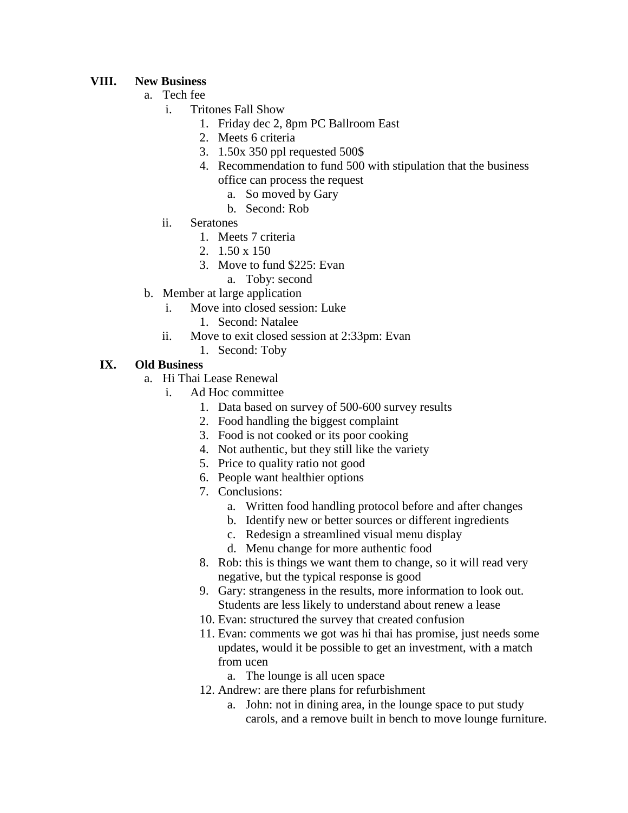## **VIII. New Business**

- a. Tech fee
	- i. Tritones Fall Show
		- 1. Friday dec 2, 8pm PC Ballroom East
		- 2. Meets 6 criteria
		- 3. 1.50x 350 ppl requested 500\$
		- 4. Recommendation to fund 500 with stipulation that the business office can process the request
			- a. So moved by Gary
			- b. Second: Rob
	- ii. Seratones
		- 1. Meets 7 criteria
		- 2. 1.50 x 150
		- 3. Move to fund \$225: Evan
			- a. Toby: second
- b. Member at large application
	- i. Move into closed session: Luke
		- 1. Second: Natalee
	- ii. Move to exit closed session at 2:33pm: Evan
		- 1. Second: Toby

## **IX. Old Business**

- a. Hi Thai Lease Renewal
	- i. Ad Hoc committee
		- 1. Data based on survey of 500-600 survey results
		- 2. Food handling the biggest complaint
		- 3. Food is not cooked or its poor cooking
		- 4. Not authentic, but they still like the variety
		- 5. Price to quality ratio not good
		- 6. People want healthier options
		- 7. Conclusions:
			- a. Written food handling protocol before and after changes
			- b. Identify new or better sources or different ingredients
			- c. Redesign a streamlined visual menu display
			- d. Menu change for more authentic food
		- 8. Rob: this is things we want them to change, so it will read very negative, but the typical response is good
		- 9. Gary: strangeness in the results, more information to look out. Students are less likely to understand about renew a lease
		- 10. Evan: structured the survey that created confusion
		- 11. Evan: comments we got was hi thai has promise, just needs some updates, would it be possible to get an investment, with a match from ucen

a. The lounge is all ucen space

- 12. Andrew: are there plans for refurbishment
	- a. John: not in dining area, in the lounge space to put study carols, and a remove built in bench to move lounge furniture.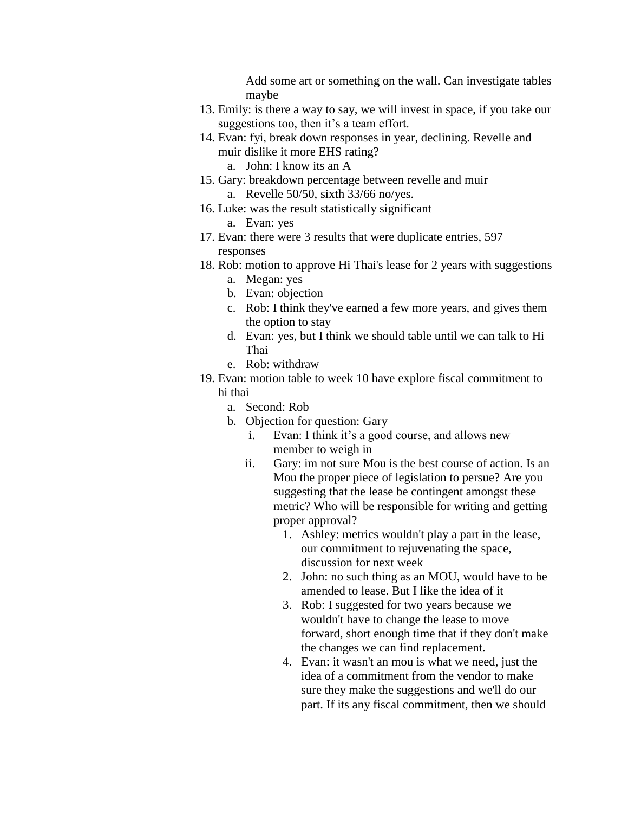Add some art or something on the wall. Can investigate tables maybe

- 13. Emily: is there a way to say, we will invest in space, if you take our suggestions too, then it's a team effort.
- 14. Evan: fyi, break down responses in year, declining. Revelle and muir dislike it more EHS rating?
	- a. John: I know its an A
- 15. Gary: breakdown percentage between revelle and muir a. Revelle 50/50, sixth 33/66 no/yes.
- 16. Luke: was the result statistically significant
	- a. Evan: yes
- 17. Evan: there were 3 results that were duplicate entries, 597 responses
- 18. Rob: motion to approve Hi Thai's lease for 2 years with suggestions a. Megan: yes
	-
	- b. Evan: objection
	- c. Rob: I think they've earned a few more years, and gives them the option to stay
	- d. Evan: yes, but I think we should table until we can talk to Hi Thai
	- e. Rob: withdraw
- 19. Evan: motion table to week 10 have explore fiscal commitment to hi thai
	- a. Second: Rob
	- b. Objection for question: Gary
		- i. Evan: I think it's a good course, and allows new member to weigh in
		- ii. Gary: im not sure Mou is the best course of action. Is an Mou the proper piece of legislation to persue? Are you suggesting that the lease be contingent amongst these metric? Who will be responsible for writing and getting proper approval?
			- 1. Ashley: metrics wouldn't play a part in the lease, our commitment to rejuvenating the space, discussion for next week
			- 2. John: no such thing as an MOU, would have to be amended to lease. But I like the idea of it
			- 3. Rob: I suggested for two years because we wouldn't have to change the lease to move forward, short enough time that if they don't make the changes we can find replacement.
			- 4. Evan: it wasn't an mou is what we need, just the idea of a commitment from the vendor to make sure they make the suggestions and we'll do our part. If its any fiscal commitment, then we should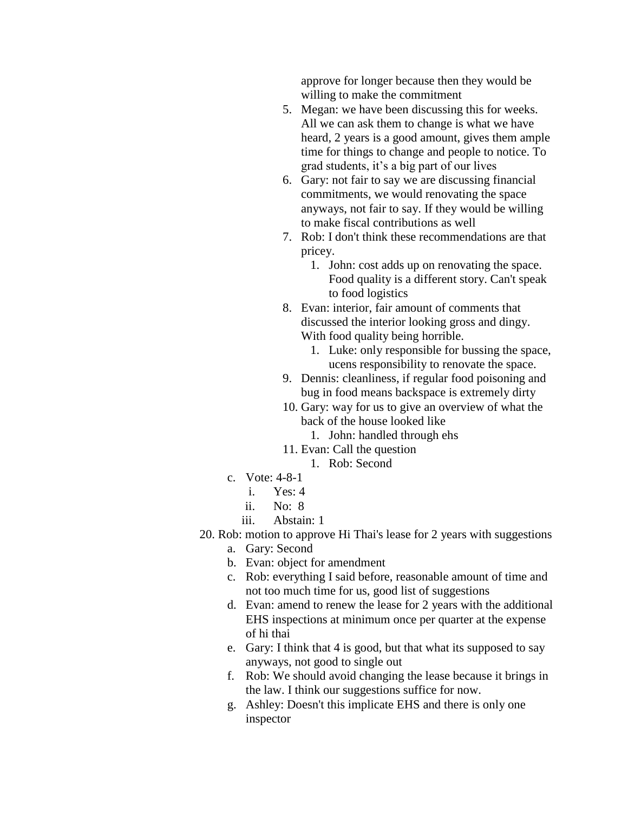approve for longer because then they would be willing to make the commitment

- 5. Megan: we have been discussing this for weeks. All we can ask them to change is what we have heard, 2 years is a good amount, gives them ample time for things to change and people to notice. To grad students, it's a big part of our lives
- 6. Gary: not fair to say we are discussing financial commitments, we would renovating the space anyways, not fair to say. If they would be willing to make fiscal contributions as well
- 7. Rob: I don't think these recommendations are that pricey.
	- 1. John: cost adds up on renovating the space. Food quality is a different story. Can't speak to food logistics
- 8. Evan: interior, fair amount of comments that discussed the interior looking gross and dingy. With food quality being horrible.
	- 1. Luke: only responsible for bussing the space, ucens responsibility to renovate the space.
- 9. Dennis: cleanliness, if regular food poisoning and bug in food means backspace is extremely dirty
- 10. Gary: way for us to give an overview of what the back of the house looked like
	- 1. John: handled through ehs
- 11. Evan: Call the question
	- 1. Rob: Second
- c. Vote: 4-8-1
	- i. Yes: 4
	- ii. No: 8
	- iii. Abstain: 1
- 20. Rob: motion to approve Hi Thai's lease for 2 years with suggestions
	- a. Gary: Second
	- b. Evan: object for amendment
	- c. Rob: everything I said before, reasonable amount of time and not too much time for us, good list of suggestions
	- d. Evan: amend to renew the lease for 2 years with the additional EHS inspections at minimum once per quarter at the expense of hi thai
	- e. Gary: I think that 4 is good, but that what its supposed to say anyways, not good to single out
	- f. Rob: We should avoid changing the lease because it brings in the law. I think our suggestions suffice for now.
	- g. Ashley: Doesn't this implicate EHS and there is only one inspector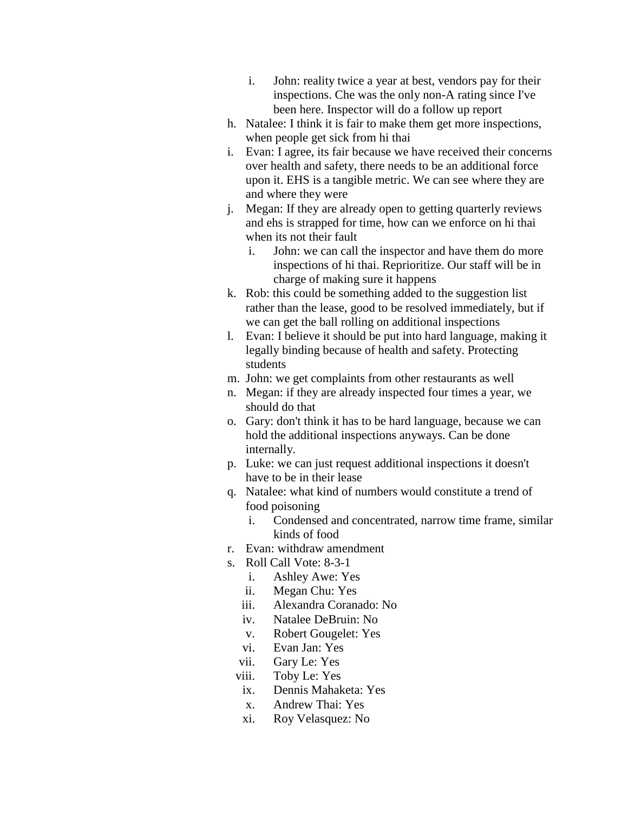- i. John: reality twice a year at best, vendors pay for their inspections. Che was the only non-A rating since I've been here. Inspector will do a follow up report
- h. Natalee: I think it is fair to make them get more inspections, when people get sick from hi thai
- i. Evan: I agree, its fair because we have received their concerns over health and safety, there needs to be an additional force upon it. EHS is a tangible metric. We can see where they are and where they were
- j. Megan: If they are already open to getting quarterly reviews and ehs is strapped for time, how can we enforce on hi thai when its not their fault
	- i. John: we can call the inspector and have them do more inspections of hi thai. Reprioritize. Our staff will be in charge of making sure it happens
- k. Rob: this could be something added to the suggestion list rather than the lease, good to be resolved immediately, but if we can get the ball rolling on additional inspections
- l. Evan: I believe it should be put into hard language, making it legally binding because of health and safety. Protecting students
- m. John: we get complaints from other restaurants as well
- n. Megan: if they are already inspected four times a year, we should do that
- o. Gary: don't think it has to be hard language, because we can hold the additional inspections anyways. Can be done internally.
- p. Luke: we can just request additional inspections it doesn't have to be in their lease
- q. Natalee: what kind of numbers would constitute a trend of food poisoning
	- i. Condensed and concentrated, narrow time frame, similar kinds of food
- r. Evan: withdraw amendment
- s. Roll Call Vote: 8-3-1
	- i. Ashley Awe: Yes
	- ii. Megan Chu: Yes
	- iii. Alexandra Coranado: No
	- iv. Natalee DeBruin: No
	- v. Robert Gougelet: Yes
	- vi. Evan Jan: Yes
	- vii. Gary Le: Yes
	- viii. Toby Le: Yes
	- ix. Dennis Mahaketa: Yes
	- x. Andrew Thai: Yes
	- xi. Roy Velasquez: No